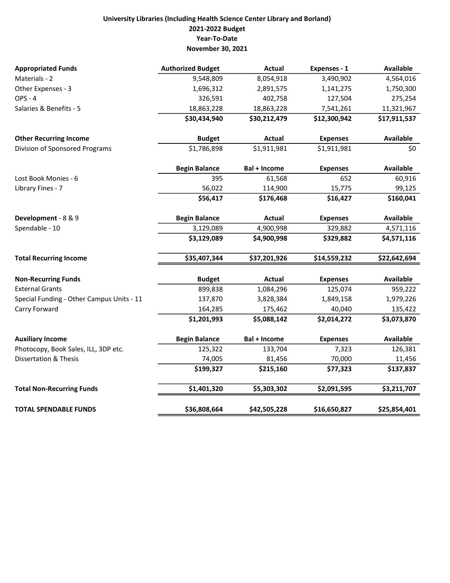## University Libraries (Including Health Science Center Library and Borland) 2021-2022 Budget Year-To-Date November 30, 2021

| <b>Appropriated Funds</b>                 | <b>Authorized Budget</b> | <b>Actual</b>       | Expenses - 1    | <b>Available</b> |
|-------------------------------------------|--------------------------|---------------------|-----------------|------------------|
| Materials - 2                             | 9,548,809                | 8,054,918           | 3,490,902       | 4,564,016        |
| Other Expenses - 3                        | 1,696,312                | 2,891,575           | 1,141,275       | 1,750,300        |
| <b>OPS - 4</b>                            | 326,591                  | 402,758             | 127,504         | 275,254          |
| Salaries & Benefits - 5                   | 18,863,228               | 18,863,228          | 7,541,261       | 11,321,967       |
|                                           | \$30,434,940             | \$30,212,479        | \$12,300,942    | \$17,911,537     |
| <b>Other Recurring Income</b>             | <b>Budget</b>            | <b>Actual</b>       | <b>Expenses</b> | <b>Available</b> |
| Division of Sponsored Programs            | \$1,786,898              | \$1,911,981         | \$1,911,981     | \$0              |
|                                           | <b>Begin Balance</b>     | <b>Bal + Income</b> | <b>Expenses</b> | <b>Available</b> |
| Lost Book Monies - 6                      | 395                      | 61,568              | 652             | 60,916           |
| Library Fines - 7                         | 56,022                   | 114,900             | 15,775          | 99,125           |
|                                           | \$56,417                 | \$176,468           | \$16,427        | \$160,041        |
| Development - 8 & 9                       | <b>Begin Balance</b>     | Actual              | <b>Expenses</b> | <b>Available</b> |
| Spendable - 10                            | 3,129,089                | 4,900,998           | 329,882         | 4,571,116        |
|                                           | \$3,129,089              | \$4,900,998         | \$329,882       | \$4,571,116      |
| <b>Total Recurring Income</b>             | \$35,407,344             | \$37,201,926        | \$14,559,232    | \$22,642,694     |
| <b>Non-Recurring Funds</b>                | <b>Budget</b>            | Actual              | <b>Expenses</b> | <b>Available</b> |
| <b>External Grants</b>                    | 899,838                  | 1,084,296           | 125,074         | 959,222          |
| Special Funding - Other Campus Units - 11 | 137,870                  | 3,828,384           | 1,849,158       | 1,979,226        |
| Carry Forward                             | 164,285                  | 175,462             | 40,040          | 135,422          |
|                                           | \$1,201,993              | \$5,088,142         | \$2,014,272     | \$3,073,870      |
| <b>Auxiliary Income</b>                   | <b>Begin Balance</b>     | <b>Bal + Income</b> | <b>Expenses</b> | <b>Available</b> |
| Photocopy, Book Sales, ILL, 3DP etc.      | 125,322                  | 133,704             | 7,323           | 126,381          |
| <b>Dissertation &amp; Thesis</b>          | 74,005                   | 81,456              | 70,000          | 11,456           |
|                                           | \$199,327                | \$215,160           | \$77,323        | \$137,837        |
| <b>Total Non-Recurring Funds</b>          | \$1,401,320              | \$5,303,302         | \$2,091,595     | \$3,211,707      |
| <b>TOTAL SPENDABLE FUNDS</b>              | \$36,808,664             | \$42,505,228        | \$16,650,827    | \$25,854,401     |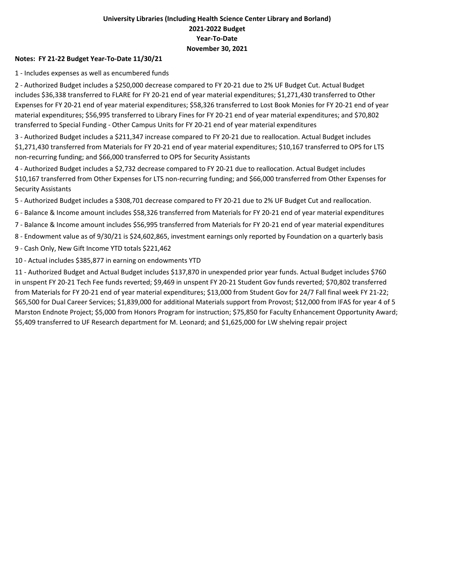### University Libraries (Including Health Science Center Library and Borland) 2021-2022 Budget Year-To-Date November 30, 2021

#### Notes: FY 21-22 Budget Year-To-Date 11/30/21

1 - Includes expenses as well as encumbered funds

2 - Authorized Budget includes a \$250,000 decrease compared to FY 20-21 due to 2% UF Budget Cut. Actual Budget includes \$36,338 transferred to FLARE for FY 20-21 end of year material expenditures; \$1,271,430 transferred to Other Expenses for FY 20-21 end of year material expenditures; \$58,326 transferred to Lost Book Monies for FY 20-21 end of year material expenditures; \$56,995 transferred to Library Fines for FY 20-21 end of year material expenditures; and \$70,802 transferred to Special Funding - Other Campus Units for FY 20-21 end of year material expenditures

3 - Authorized Budget includes a \$211,347 increase compared to FY 20-21 due to reallocation. Actual Budget includes \$1,271,430 transferred from Materials for FY 20-21 end of year material expenditures; \$10,167 transferred to OPS for LTS non-recurring funding; and \$66,000 transferred to OPS for Security Assistants

4 - Authorized Budget includes a \$2,732 decrease compared to FY 20-21 due to reallocation. Actual Budget includes \$10,167 transferred from Other Expenses for LTS non-recurring funding; and \$66,000 transferred from Other Expenses for Security Assistants

5 - Authorized Budget includes a \$308,701 decrease compared to FY 20-21 due to 2% UF Budget Cut and reallocation.

6 - Balance & Income amount includes \$58,326 transferred from Materials for FY 20-21 end of year material expenditures

7 - Balance & Income amount includes \$56,995 transferred from Materials for FY 20-21 end of year material expenditures

8 - Endowment value as of 9/30/21 is \$24,602,865, investment earnings only reported by Foundation on a quarterly basis

9 - Cash Only, New Gift Income YTD totals \$221,462

10 - Actual includes \$385,877 in earning on endowments YTD

11 - Authorized Budget and Actual Budget includes \$137,870 in unexpended prior year funds. Actual Budget includes \$760 in unspent FY 20-21 Tech Fee funds reverted; \$9,469 in unspent FY 20-21 Student Gov funds reverted; \$70,802 transferred from Materials for FY 20-21 end of year material expenditures; \$13,000 from Student Gov for 24/7 Fall final week FY 21-22; \$65,500 for Dual Career Services; \$1,839,000 for additional Materials support from Provost; \$12,000 from IFAS for year 4 of 5 Marston Endnote Project; \$5,000 from Honors Program for instruction; \$75,850 for Faculty Enhancement Opportunity Award; \$5,409 transferred to UF Research department for M. Leonard; and \$1,625,000 for LW shelving repair project